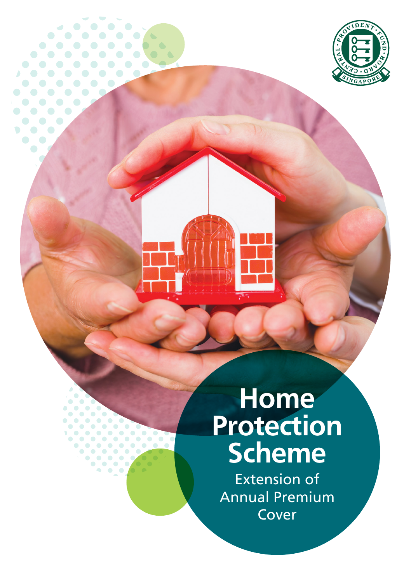

# **Home Protection Scheme**

 $\overline{a}$ 

 $\bullet$   $\bullet$ 

 $\bullet$  $\bullet$  $\triangle$  $\bullet$ 

 $\big)$ 

 $\bullet$  $\bullet$ 

> Extension of Annual Premium Cover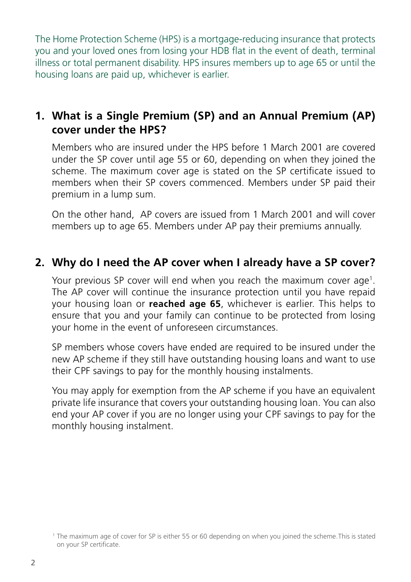The Home Protection Scheme (HPS) is a mortgage-reducing insurance that protects you and your loved ones from losing your HDB flat in the event of death, terminal illness or total permanent disability. HPS insures members up to age 65 or until the housing loans are paid up, whichever is earlier.

#### **1. What is a Single Premium (SP) and an Annual Premium (AP) cover under the HPS?**

Members who are insured under the HPS before 1 March 2001 are covered under the SP cover until age 55 or 60, depending on when they joined the scheme. The maximum cover age is stated on the SP certificate issued to members when their SP covers commenced. Members under SP paid their premium in a lump sum.

On the other hand, AP covers are issued from 1 March 2001 and will cover members up to age 65. Members under AP pay their premiums annually.

#### **2. Why do I need the AP cover when I already have a SP cover?**

Your previous SP cover will end when you reach the maximum cover age $^{\rm 1}.$ The AP cover will continue the insurance protection until you have repaid your housing loan or **reached age 65**, whichever is earlier. This helps to ensure that you and your family can continue to be protected from losing your home in the event of unforeseen circumstances.

SP members whose covers have ended are required to be insured under the new AP scheme if they still have outstanding housing loans and want to use their CPF savings to pay for the monthly housing instalments.

You may apply for exemption from the AP scheme if you have an equivalent private life insurance that covers your outstanding housing loan. You can also end your AP cover if you are no longer using your CPF savings to pay for the monthly housing instalment.

<sup>1</sup> The maximum age of cover for SP is either 55 or 60 depending on when you joined the scheme. This is stated on your SP certificate.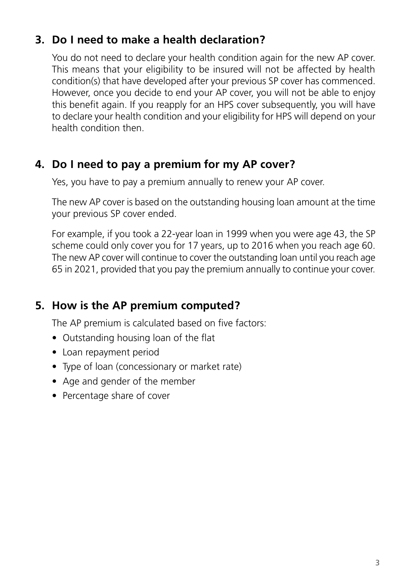#### **3. Do I need to make a health declaration?**

You do not need to declare your health condition again for the new AP cover. This means that your eligibility to be insured will not be affected by health condition(s) that have developed after your previous SP cover has commenced. However, once you decide to end your AP cover, you will not be able to enjoy this benefit again. If you reapply for an HPS cover subsequently, you will have to declare your health condition and your eligibility for HPS will depend on your health condition then.

#### **4. Do I need to pay a premium for my AP cover?**

Yes, you have to pay a premium annually to renew your AP cover.

The new AP cover is based on the outstanding housing loan amount at the time your previous SP cover ended.

For example, if you took a 22-year loan in 1999 when you were age 43, the SP scheme could only cover you for 17 years, up to 2016 when you reach age 60. The new AP cover will continue to cover the outstanding loan until you reach age 65 in 2021, provided that you pay the premium annually to continue your cover.

#### **5. How is the AP premium computed?**

The AP premium is calculated based on five factors:

- Outstanding housing loan of the flat
- Loan repayment period
- Type of loan (concessionary or market rate)
- Age and gender of the member
- Percentage share of cover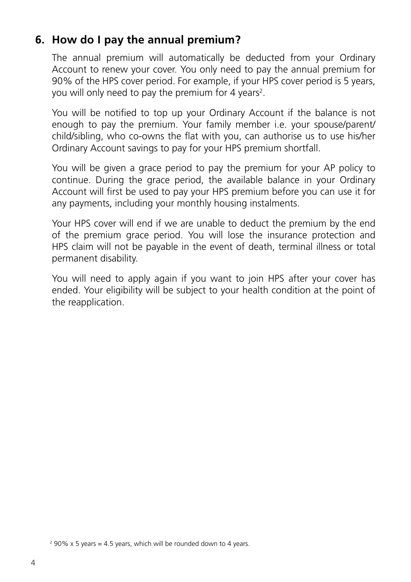#### **6. How do I pay the annual premium?**

The annual premium will automatically be deducted from your Ordinary Account to renew your cover. You only need to pay the annual premium for 90% of the HPS cover period. For example, if your HPS cover period is 5 years, you will only need to pay the premium for 4 years<sup>2</sup>.

You will be notified to top up your Ordinary Account if the balance is not enough to pay the premium. Your family member i.e. your spouse/parent/ child/sibling, who co-owns the flat with you, can authorise us to use his/her Ordinary Account savings to pay for your HPS premium shortfall.

You will be given a grace period to pay the premium for your AP policy to continue. During the grace period, the available balance in your Ordinary Account will first be used to pay your HPS premium before you can use it for any payments, including your monthly housing instalments.

Your HPS cover will end if we are unable to deduct the premium by the end of the premium grace period. You will lose the insurance protection and HPS claim will not be payable in the event of death, terminal illness or total permanent disability.

You will need to apply again if you want to join HPS after your cover has ended. Your eligibility will be subject to your health condition at the point of the reapplication.

 $290\%$  x 5 years = 4.5 years, which will be rounded down to 4 years.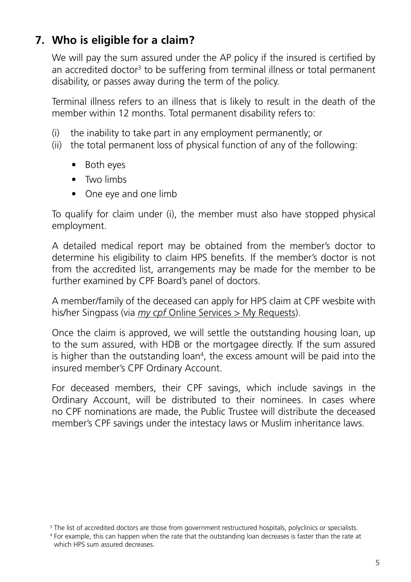#### **7. Who is eligible for a claim?**

We will pay the sum assured under the AP policy if the insured is certified by an accredited doctor<sup>3</sup> to be suffering from terminal illness or total permanent disability, or passes away during the term of the policy.

Terminal illness refers to an illness that is likely to result in the death of the member within 12 months. Total permanent disability refers to:

- (i) the inability to take part in any employment permanently; or
- (ii) the total permanent loss of physical function of any of the following:
	- Both eyes
	- Two limbs
	- One eve and one limb

To qualify for claim under (i), the member must also have stopped physical employment.

A detailed medical report may be obtained from the member's doctor to determine his eligibility to claim HPS benefits. If the member's doctor is not from the accredited list, arrangements may be made for the member to be further examined by CPF Board's panel of doctors.

A member/family of the deceased can apply for HPS claim at CPF wesbite with his/her Singpass (via *my cpf* [Online Services > My Requests\)](https://www.cpf.gov.sg/esvc/web/services/myrequest/myrequestlanding).

Once the claim is approved, we will settle the outstanding housing loan, up to the sum assured, with HDB or the mortgagee directly. If the sum assured is higher than the outstanding loan<sup>4</sup>, the excess amount will be paid into the insured member's CPF Ordinary Account.

For deceased members, their CPF savings, which include savings in the Ordinary Account, will be distributed to their nominees. In cases where no CPF nominations are made, the Public Trustee will distribute the deceased member's CPF savings under the intestacy laws or Muslim inheritance laws.

<sup>&</sup>lt;sup>3</sup> The list of accredited doctors are those from government restructured hospitals, polyclinics or specialists.

<sup>4</sup> For example, this can happen when the rate that the outstanding loan decreases is faster than the rate at which HPS sum assured decreases.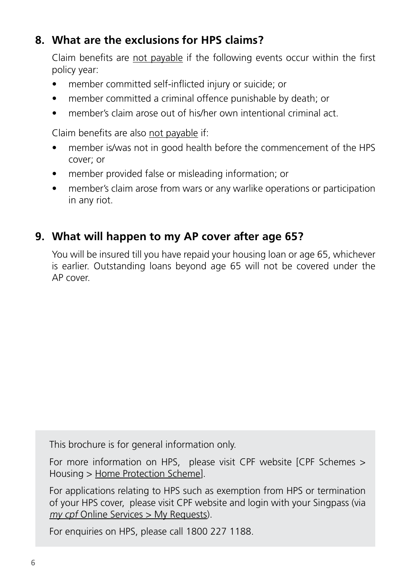#### **8. What are the exclusions for HPS claims?**

Claim benefits are not payable if the following events occur within the first policy year:

- member committed self-inflicted injury or suicide; or
- member committed a criminal offence punishable by death; or
- member's claim arose out of his/her own intentional criminal act.

Claim benefits are also not payable if:

- member is/was not in good health before the commencement of the HPS cover; or
- member provided false or misleading information; or
- member's claim arose from wars or any warlike operations or participation in any riot.

### **9. What will happen to my AP cover after age 65?**

You will be insured till you have repaid your housing loan or age 65, whichever is earlier. Outstanding loans beyond age 65 will not be covered under the AP cover.

This brochure is for general information only.

For more information on HPS, please visit CPF website [CPF Schemes > Housing > [Home Protection Scheme\]](https://www.cpf.gov.sg/members/schemes/schemes/housing/home-protection-scheme).

For applications relating to HPS such as exemption from HPS or termination of your HPS cover, please visit CPF website and login with your Singpass (via my cpf [Online Services > My Requests](https://www.cpf.gov.sg/esvc/web/services/myrequest/myrequestlanding)).

For enquiries on HPS, please call 1800 227 1188.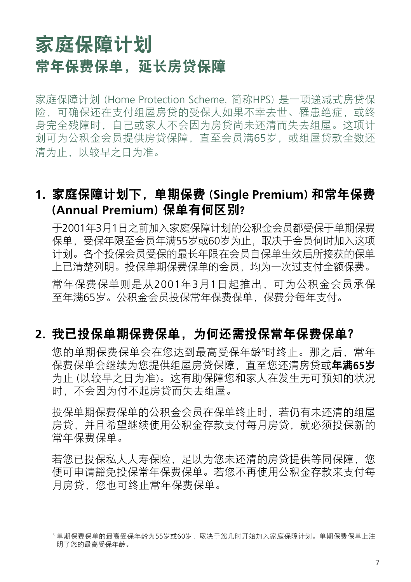## 家庭保障计划 常年保费保单,延长房贷保障

家庭保障计划 (Home Protection Scheme, 简称HPS) 是一项递减式房贷保 险,可确保还在支付组屋房贷的受保人如果不幸去世、罹患绝症,或终 身完全残障时,自己或家人不会因为房贷尚未还清而失去组屋。这项计 划可为公积金会员提供房贷保障,直至会员满65岁,或组屋贷款全数还 清为止,以较早之日为准。

#### **1.** 家庭保障计划下,单期保费 (**Single Premium**) 和常年保费 (**Annual Premium**) 保单有何区别?

于2001年3月1日之前加入家庭保障计划的公积金会员都受保于单期保费 保单,受保年限至会员年满55岁或60岁为止,取决于会员何时加入这项 计划。各个投保会员受保的最长年限在会员自保单生效后所接获的保单 上已清楚列明。投保单期保费保单的会员,均为一次过支付全额保费。 常年保费保单则是从2001年3月1日起推出,可为公积金会员承保 至年满65岁。公积金会员投保常年保费保单,保费分每年支付。

#### **2.** 我已投保单期保费保单,为何还需投保常年保费保单?

您的单期保费保单会在您达到最高受保年龄『时终止。那之后,常年 保费保单会继续为您提供组屋房贷保障,直至您还清房贷或年满**65**岁 为止 (以较早之日为准)。这有助保障您和家人在发生无可预知的状况 时,不会因为付不起房贷而失去组屋。

投保单期保费保单的公积金会员在保单终止时,若仍有未还清的组屋 房贷,并且希望继续使用公积金存款支付每月房贷,就必须投保新的 常年保费保单。

若您已投保私人人寿保险,足以为您未还清的房贷提供等同保障,您 便可申请豁免投保常年保费保单。若您不再使用公积金存款来支付每 月房贷,您也可终止常年保费保单。

<sup>5</sup> 单期保费保单的最高受保年龄为55岁或60岁,取决于您几时开始加入家庭保障计划。单期保费保单上注 明了您的最高受保年龄。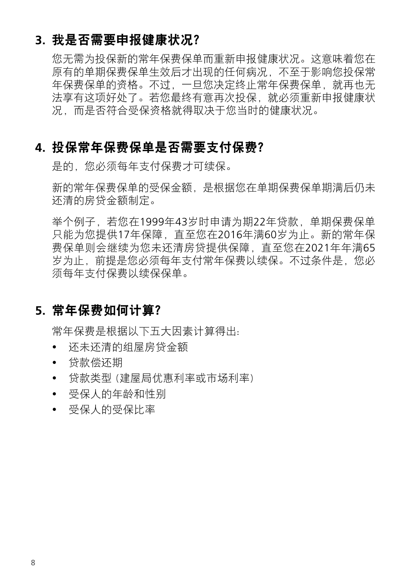#### **3.** 我是否需要申报健康状况?

您无需为投保新的常年保费保单而重新申报健康状况。这意味着您在 原有的单期保费保单生效后才出现的任何病况,不不至于影响您投保常 年保费保单的资格。不过,一旦您决定终止常年保费保单,就再也无 法享有这项好处了。若您最终有意再次投保,就必须重新申报健康状 况,而是否符合受保资格就得取决于您当时的健康状况。

#### **4.** 投保常年保费保单是否需要支付保费?

是的,您必须每年支付保费才可续保。

新的常年保费保单的受保金额,是根据您在单期保费保单期满后仍未 还清的房贷金额制定。

举个例子,若您在1999年43岁时申请为期22年贷款,单期保费保单 只能为您提供17年保障,直至您在2016年满60岁为止。新的常年保 费保单则会继续为您未还清房贷提供保障,直至您在2021年年满65 岁为止, 前提是您必须每年支付常年保费以续保。不过条件是, 您必 须每年支付保费以续保保单。

#### **5.** 常年保费如何计算?

常年保费是根据以下五大因素计算得出:

- 还未还清的组屋房贷金额
- 贷款偿还期
- 贷款类型 (建屋局优惠利率或市场利率)
- 受保人的年龄和性别
- 受保人的受保比率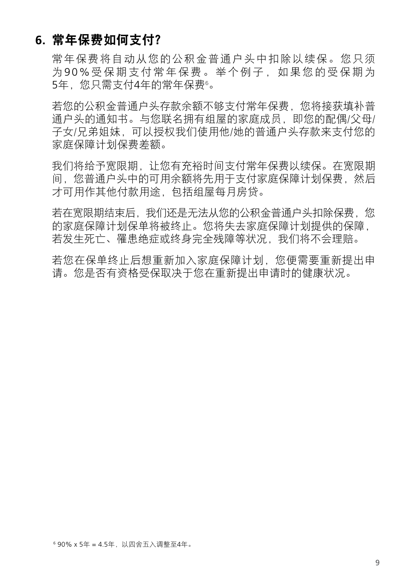#### **6.** 常年保费如何支付?

常年保费将自动从您的公积金普通户头中扣除以续保。您只须 为90%受保期支付常年保费。举个例子,如果您的受保期为 5年,您只需支付4年的常年保费°。

若您的公积金普通户头存款余额不够支付常年保费,您将接获填补普 通户头的通知书。与您联名拥有组屋的家庭成员,即您的配偶/父母/ 子女/兄弟姐妹,可以授权我们使用他/她的普通户头存款来支付您的 家庭保障计划保费差额。

我们将给予宽限期,让您有充裕时间支付常年保费以续保。在宽限期 间,您普通户头中的可用余额将先用于支付家庭保障计划保费,然后 才可用作其他付款用途,包括组屋每月房贷。

若在宽限期结束后,我们还是无法从您的公积金普通户头扣除保费,您 的家庭保障计划保单将被终止。您将失去家庭保障计划提供的保障, 若发生死亡、罹患绝症或终身完全残障等状况,我们将不会理赔。

若您在保单终止后想重新加入家庭保障计划,您便需要重新提出申 请。您是否有资格受保取决于您在重新提出申请时的健康状况。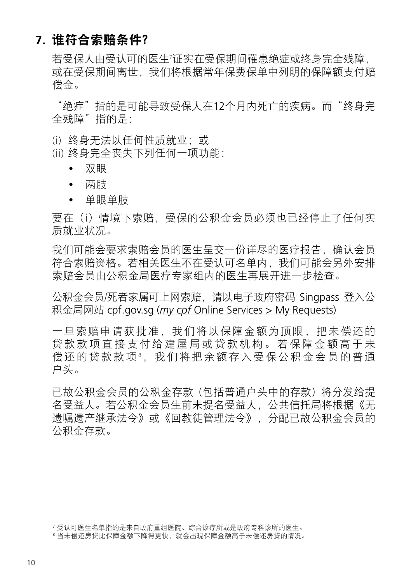#### **7.** 谁符合索赔条件?

若受保人由受认可的医生7 证实在受保期间罹患绝症或终身完全残障, 或在受保期间离世,我们将根据常年保费保单中列明的保障额支付赔 偿金。

"绝症"指的是可能导致受保人在12个月内死亡的疾病。而"终身完 全残障"指的是:

- (i) 终身无法以任何性质就业; 或
- (ii) 终身完全丧失下列任何一项功能:
	- 双眼
	- 两肢
	- 单眼单肢

要在(i)情境下索赔, 受保的公积金会员必须也已经停止了任何实 质就业状况。

我们可能会要求索赔会员的医生呈交一份详尽的医疗报告,确认会员 符合索赔资格。若相关医生不在受认可名单内,我们可能会另外安排 索赔会员由公积金局医疗专家组内的医生再展开进一步检查。

公积金会员/死者家属可上网索赔, 请以电子政府密码 Singpass 登入公 积金局网站 cpf.gov.sg (*my cpf* [Online Services > My Requests](https://www.cpf.gov.sg/esvc/web/services/myrequest/myrequestlanding))

一旦索赔申请获批准,我们将以保障金额为顶限,把未偿还的 贷款款项直接支付给建屋局或贷款机构。若保障金额高于未 偿还的贷款款项8,我们将把余额存入受保公积金会员的普通 户头。

已故公积金会员的公积金存款 (包括普通户头中的存款) 将分发给提 名受益人。若公积金会员生前未提名受益人,公共信托局将根据《无 遗嘱遗产继承法令》或《回教徒管理法令》,分配已故公积金会员的 公积金存款。

<sup>7</sup> 受认可医生名单指的是来自政府重组医院、综合诊疗所或是政府专科诊所的医生。

<sup>8</sup> 当未偿还房贷比保障金额下降得更快,就会出现保障金额高于未偿还房贷的情况。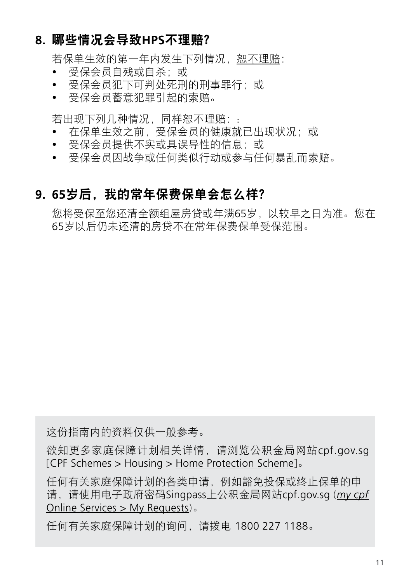### **8.** 哪些情况会导致**HPS**不理赔?

若保单生效的第一年内发生下列情况, 恕不理赔;

- 受保会员自残或自杀;或
- 受保会员犯下可判处死刑的刑事罪行;或
- 受保会员蓄意犯罪引起的索赔。

若出现下列几种情况,同样恕不理赔::

- 在保单生效之前,受保会员的健康就已出现状况;或
- 受保会员提供不实或具误导性的信息;或
- 受保会员因战争或任何类似行动或参与任何暴乱而索赔。

#### **9. 65**岁后,我的常年保费保单会怎么样?

您将受保至您还清全额组屋房贷或年满65岁,以较早之日为准。您在 65岁以后仍未还清的房贷不在常年保费保单受保范围。

这份指南内的资料仅供一般参考。

欲知更多家庭保障计划相关详情,请浏览公积金局网站cpf.gov.sg [CPF Schemes > Housing > [Home Protection Scheme](https://www.cpf.gov.sg/members/schemes/schemes/housing/home-protection-scheme)]。

任何有关家庭保障计划的各类申请,例如豁免投保或终止保单的申 请,请使用电子政府密码Singpass上公积金局网站cpf.gov.sg (*[my cpf](https://www.cpf.gov.sg/members/schemes/schemes/housing/home-protection-scheme)*  [Online Services > My Requests](https://www.cpf.gov.sg/members/schemes/schemes/housing/home-protection-scheme))。

任何有关家庭保障计划的询问,请拨电 1800 227 1188。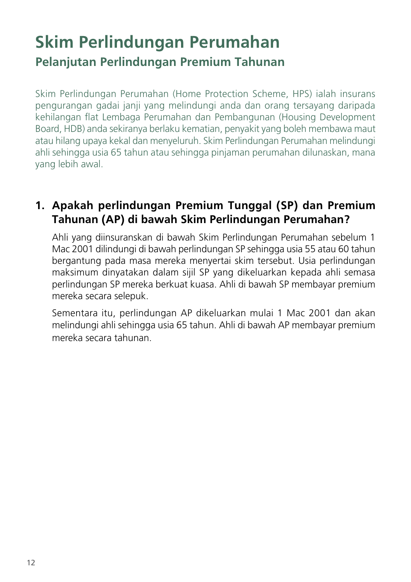## **Skim Perlindungan Perumahan Pelanjutan Perlindungan Premium Tahunan**

Skim Perlindungan Perumahan (Home Protection Scheme, HPS) ialah insurans pengurangan gadai janji yang melindungi anda dan orang tersayang daripada kehilangan flat Lembaga Perumahan dan Pembangunan (Housing Development Board, HDB) anda sekiranya berlaku kematian, penyakit yang boleh membawa maut atau hilang upaya kekal dan menyeluruh. Skim Perlindungan Perumahan melindungi ahli sehingga usia 65 tahun atau sehingga pinjaman perumahan dilunaskan, mana yang lebih awal.

#### **1. Apakah perlindungan Premium Tunggal (SP) dan Premium Tahunan (AP) di bawah Skim Perlindungan Perumahan?**

Ahli yang diinsuranskan di bawah Skim Perlindungan Perumahan sebelum 1 Mac 2001 dilindungi di bawah perlindungan SP sehingga usia 55 atau 60 tahun bergantung pada masa mereka menyertai skim tersebut. Usia perlindungan maksimum dinyatakan dalam sijil SP yang dikeluarkan kepada ahli semasa perlindungan SP mereka berkuat kuasa. Ahli di bawah SP membayar premium mereka secara selepuk.

Sementara itu, perlindungan AP dikeluarkan mulai 1 Mac 2001 dan akan melindungi ahli sehingga usia 65 tahun. Ahli di bawah AP membayar premium mereka secara tahunan.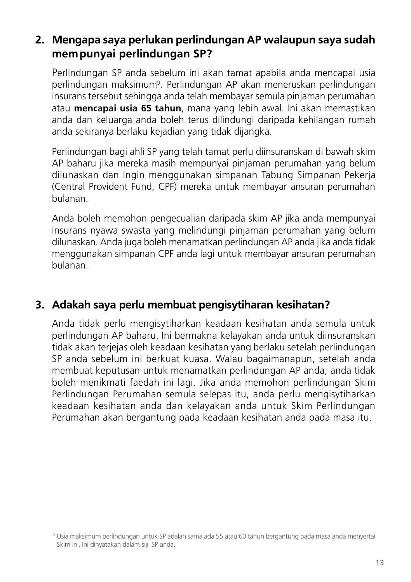#### **2. Mengapa saya perlukan perlindungan AP walaupun saya sudah mempunyai perlindungan SP?**

Perlindungan SP anda sebelum ini akan tamat apabila anda mencapai usia perlindungan maksimum<sup>9</sup>. Perlindungan AP akan meneruskan perlindungan insurans tersebut sehingga anda telah membayar semula pinjaman perumahan atau **mencapai usia 65 tahun**, mana yang lebih awal. Ini akan memastikan anda dan keluarga anda boleh terus dilindungi daripada kehilangan rumah anda sekiranya berlaku kejadian yang tidak dijangka.

Perlindungan bagi ahli SP yang telah tamat perlu diinsuranskan di bawah skim AP baharu jika mereka masih mempunyai pinjaman perumahan yang belum dilunaskan dan ingin menggunakan simpanan Tabung Simpanan Pekerja (Central Provident Fund, CPF) mereka untuk membayar ansuran perumahan bulanan.

Anda boleh memohon pengecualian daripada skim AP jika anda mempunyai insurans nyawa swasta yang melindungi pinjaman perumahan yang belum dilunaskan. Anda juga boleh menamatkan perlindungan AP anda jika anda tidak menggunakan simpanan CPF anda lagi untuk membayar ansuran perumahan bulanan.

#### **3. Adakah saya perlu membuat pengisytiharan kesihatan?**

Anda tidak perlu mengisytiharkan keadaan kesihatan anda semula untuk perlindungan AP baharu. Ini bermakna kelayakan anda untuk diinsuranskan tidak akan terjejas oleh keadaan kesihatan yang berlaku setelah perlindungan SP anda sebelum ini berkuat kuasa. Walau bagaimanapun, setelah anda membuat keputusan untuk menamatkan perlindungan AP anda, anda tidak boleh menikmati faedah ini lagi. Jika anda memohon perlindungan Skim Perlindungan Perumahan semula selepas itu, anda perlu mengisytiharkan keadaan kesihatan anda dan kelayakan anda untuk Skim Perlindungan Perumahan akan bergantung pada keadaan kesihatan anda pada masa itu.

<sup>9</sup> Usia maksimum perlindungan untuk SP adalah sama ada 55 atau 60 tahun bergantung pada masa anda menyertai Skim ini. Ini dinyatakan dalam sijil SP anda.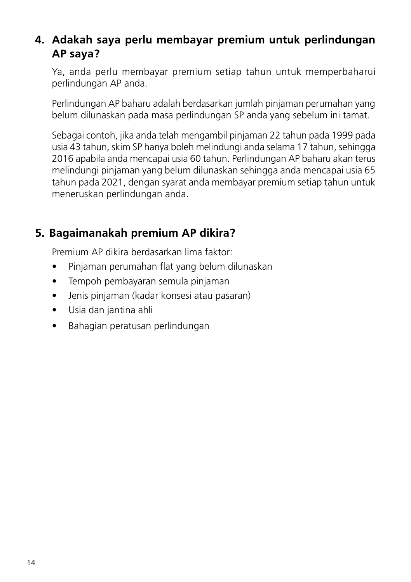#### **4. Adakah saya perlu membayar premium untuk perlindungan AP saya?**

Ya, anda perlu membayar premium setiap tahun untuk memperbaharui perlindungan AP anda.

Perlindungan AP baharu adalah berdasarkan jumlah pinjaman perumahan yang belum dilunaskan pada masa perlindungan SP anda yang sebelum ini tamat.

Sebagai contoh, jika anda telah mengambil pinjaman 22 tahun pada 1999 pada usia 43 tahun, skim SP hanya boleh melindungi anda selama 17 tahun, sehingga 2016 apabila anda mencapai usia 60 tahun. Perlindungan AP baharu akan terus melindungi pinjaman yang belum dilunaskan sehingga anda mencapai usia 65 tahun pada 2021, dengan syarat anda membayar premium setiap tahun untuk meneruskan perlindungan anda.

#### **5. Bagaimanakah premium AP dikira?**

Premium AP dikira berdasarkan lima faktor:

- Pinjaman perumahan flat yang belum dilunaskan
- Tempoh pembayaran semula pinjaman
- Jenis pinjaman (kadar konsesi atau pasaran)
- Usia dan jantina ahli
- Bahagian peratusan perlindungan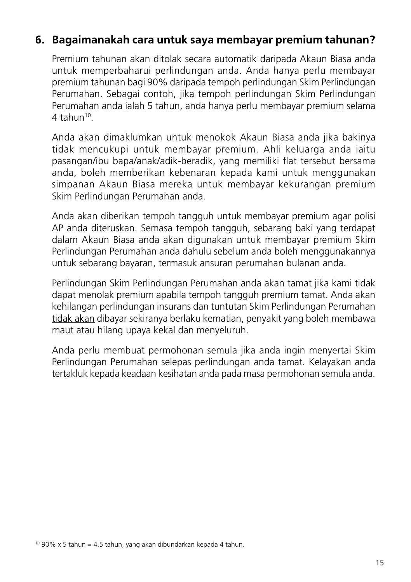#### **6. Bagaimanakah cara untuk saya membayar premium tahunan?**

Premium tahunan akan ditolak secara automatik daripada Akaun Biasa anda untuk memperbaharui perlindungan anda. Anda hanya perlu membayar premium tahunan bagi 90% daripada tempoh perlindungan Skim Perlindungan Perumahan. Sebagai contoh, jika tempoh perlindungan Skim Perlindungan Perumahan anda ialah 5 tahun, anda hanya perlu membayar premium selama  $4$  tahun<sup>10</sup>

Anda akan dimaklumkan untuk menokok Akaun Biasa anda jika bakinya tidak mencukupi untuk membayar premium. Ahli keluarga anda iaitu pasangan/ibu bapa/anak/adik-beradik, yang memiliki flat tersebut bersama anda, boleh memberikan kebenaran kepada kami untuk menggunakan simpanan Akaun Biasa mereka untuk membayar kekurangan premium Skim Perlindungan Perumahan anda.

Anda akan diberikan tempoh tangguh untuk membayar premium agar polisi AP anda diteruskan. Semasa tempoh tangguh, sebarang baki yang terdapat dalam Akaun Biasa anda akan digunakan untuk membayar premium Skim Perlindungan Perumahan anda dahulu sebelum anda boleh menggunakannya untuk sebarang bayaran, termasuk ansuran perumahan bulanan anda.

Perlindungan Skim Perlindungan Perumahan anda akan tamat jika kami tidak dapat menolak premium apabila tempoh tangguh premium tamat. Anda akan kehilangan perlindungan insurans dan tuntutan Skim Perlindungan Perumahan tidak akan dibayar sekiranya berlaku kematian, penyakit yang boleh membawa maut atau hilang upaya kekal dan menyeluruh.

Anda perlu membuat permohonan semula jika anda ingin menyertai Skim Perlindungan Perumahan selepas perlindungan anda tamat. Kelayakan anda tertakluk kepada keadaan kesihatan anda pada masa permohonan semula anda.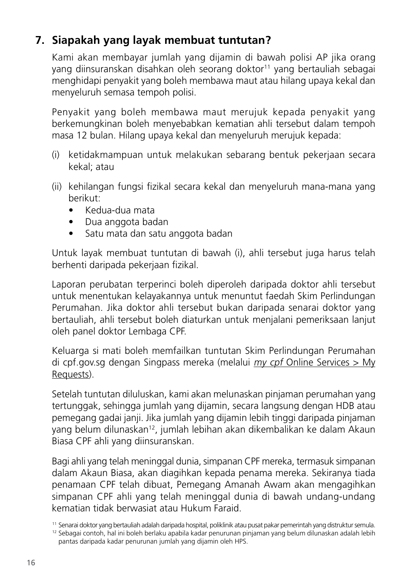#### **7. Siapakah yang layak membuat tuntutan?**

Kami akan membayar jumlah yang dijamin di bawah polisi AP jika orang yang diinsuranskan disahkan oleh seorang doktor<sup>11</sup> yang bertauliah sebagai menghidapi penyakit yang boleh membawa maut atau hilang upaya kekal dan menyeluruh semasa tempoh polisi.

Penyakit yang boleh membawa maut merujuk kepada penyakit yang berkemungkinan boleh menyebabkan kematian ahli tersebut dalam tempoh masa 12 bulan. Hilang upaya kekal dan menyeluruh merujuk kepada:

- (i) ketidakmampuan untuk melakukan sebarang bentuk pekerjaan secara kekal; atau
- (ii) kehilangan fungsi fizikal secara kekal dan menyeluruh mana-mana yang berikut:
	- Kedua-dua mata
	- Dua anggota badan
	- Satu mata dan satu anggota badan

Untuk layak membuat tuntutan di bawah (i), ahli tersebut juga harus telah berhenti daripada pekerjaan fizikal.

Laporan perubatan terperinci boleh diperoleh daripada doktor ahli tersebut untuk menentukan kelayakannya untuk menuntut faedah Skim Perlindungan Perumahan. Jika doktor ahli tersebut bukan daripada senarai doktor yang bertauliah, ahli tersebut boleh diaturkan untuk menjalani pemeriksaan lanjut oleh panel doktor Lembaga CPF.

Keluarga si mati boleh memfailkan tuntutan Skim Perlindungan Perumahan di cpf.gov.sg dengan Singpass mereka (melalui  $my$  cpf Online Services  $> My$ [Requests\)](https://www.cpf.gov.sg/esvc/web/services/myrequest/myrequestlanding).

Setelah tuntutan diluluskan, kami akan melunaskan pinjaman perumahan yang tertunggak, sehingga jumlah yang dijamin, secara langsung dengan HDB atau pemegang gadai janji. Jika jumlah yang dijamin lebih tinggi daripada pinjaman yang belum dilunaskan12, jumlah lebihan akan dikembalikan ke dalam Akaun Biasa CPF ahli yang diinsuranskan.

Bagi ahli yang telah meninggal dunia, simpanan CPF mereka, termasuk simpanan dalam Akaun Biasa, akan diagihkan kepada penama mereka. Sekiranya tiada penamaan CPF telah dibuat, Pemegang Amanah Awam akan mengagihkan simpanan CPF ahli yang telah meninggal dunia di bawah undang-undang kematian tidak berwasiat atau Hukum Faraid.

<sup>11</sup> Senarai doktor yang bertauliah adalah daripada hospital, poliklinik atau pusat pakar pemerintah yang distruktur semula.

<sup>12</sup> Sebagai contoh, hal ini boleh berlaku apabila kadar penurunan pinjaman yang belum dilunaskan adalah lebih pantas daripada kadar penurunan jumlah yang dijamin oleh HPS.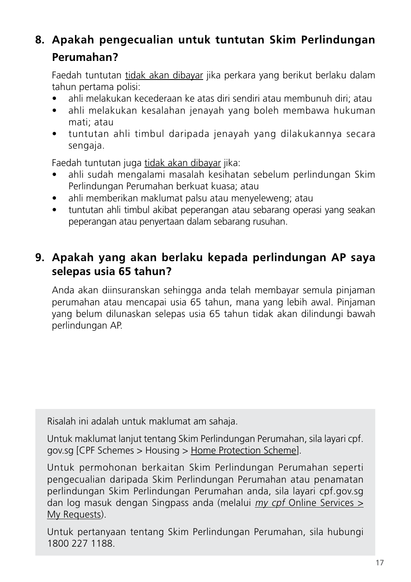### **8. Apakah pengecualian untuk tuntutan Skim Perlindungan Perumahan?**

Faedah tuntutan tidak akan dibayar jika perkara yang berikut berlaku dalam tahun pertama polisi:

- ahli melakukan kecederaan ke atas diri sendiri atau membunuh diri; atau
- ahli melakukan kesalahan jenayah yang boleh membawa hukuman mati; atau
- tuntutan ahli timbul daripada jenayah yang dilakukannya secara sengaja.

Faedah tuntutan juga tidak akan dibayar jika:

- ahli sudah mengalami masalah kesihatan sebelum perlindungan Skim Perlindungan Perumahan berkuat kuasa; atau
- ahli memberikan maklumat palsu atau menyeleweng; atau
- tuntutan ahli timbul akibat peperangan atau sebarang operasi yang seakan peperangan atau penyertaan dalam sebarang rusuhan.

### **9. Apakah yang akan berlaku kepada perlindungan AP saya selepas usia 65 tahun?**

Anda akan diinsuranskan sehingga anda telah membayar semula pinjaman perumahan atau mencapai usia 65 tahun, mana yang lebih awal. Pinjaman yang belum dilunaskan selepas usia 65 tahun tidak akan dilindungi bawah perlindungan AP.

Risalah ini adalah untuk maklumat am sahaja.

Untuk maklumat lanjut tentang Skim Perlindungan Perumahan, sila layari cpf. gov.sg [CPF Schemes > Housing > [Home Protection Scheme\]](https://www.cpf.gov.sg/members/schemes/schemes/housing/home-protection-scheme).

Untuk permohonan berkaitan Skim Perlindungan Perumahan seperti pengecualian daripada Skim Perlindungan Perumahan atau penamatan perlindungan Skim Perlindungan Perumahan anda, sila layari cpf.gov.sg dan log masuk dengan Singpass anda (melalui  $my$  cpf Online Services  $\geq$ [My Requests](https://www.cpf.gov.sg/esvc/web/services/myrequest/myrequestlanding)).

Untuk pertanyaan tentang Skim Perlindungan Perumahan, sila hubungi 1800 227 1188.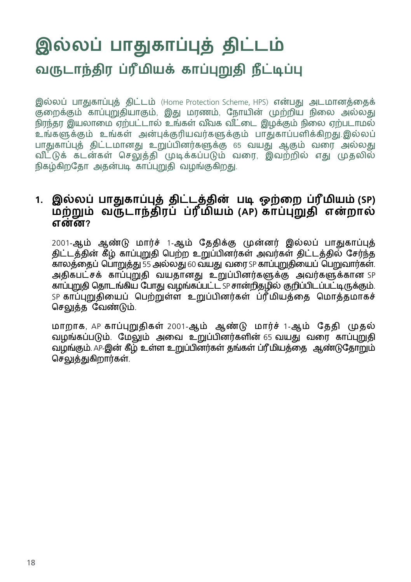## **இல்லப் பாதுகாப்புத் திட்டம் வருடாந்திர ப்ரீமியக் காப்புறுதி நீட்டிப்பு**

இல்லப் பாதுகாப்புத் திட்டம் (Home Protection Scheme, HPS) என்பது அடமானத்தைக் குறைக்கும் காப்புறுதியாகும், இது மரணம், நோயின் முற்றிய நிலை அல்லது நிரந்தர இயலாமை ஏற்பட்டால் உங்கள் வீவக வீட்டை இழக்கும் நிலை ஏற்படாமல் .<br>உங்களுக்கும் உங்கள் அன்புக்குரியவர்களுக்கும் பாதுகாப்பளிக்கிறது.இல்லப் பாதுகாப்புத் திட்டமானது உறுப்பினர்களுக்கு 65 வயது ஆகும் வரை அல்லது வ ீட்டுக் கடன்கள் செலுத்தி முடிக்கப்படும் வரை, இவற்றில் எது முதலில் நிகழ்கிறதோ அதன்படி காப்புறுதி வழங்குகிறது.

#### **1. இல்லப் பாதுகாப்புத் திட்டத்தின் படி ஒற்றை ப்ரீமியம் (SP) மற்றும் வருடாந்திரப் ப்ரீமியம் (AP) காப்புறுதி என்றால் என்ன?**

2001-ஆம் ஆண்டு மார்ச் 1-ஆம் தேதிக்கு முன்னர் இல்லப் பாதுகாப்புத் திட்டத்தின் கீழ் காப்புறுதி பெற்ற உறுப்பினர்கள் அவர்கள் திட்டத்தில் சேர்ந்த காலத்தைப் பொறுத்து 55 அல்லது 60 வயது வரை SP காப்புறுதியைப் பெறுவார்கள். அதிகபட்சக் காப்புறுதி வயதானது உறுப்பினர்களுக்கு அவர்களுக்கான SP காப்புறுதி தொடங்கிய போது வழங்கப்பட்ட SP சான்றிதழில் குறிப்பிடப்பட்டிருக்கும். SP காப்புறுதியைப் பெற்றுள்ள உறுப்பினர்கள் ப்ரீமியத்தை மொத்தமாகச் செலுத்த வேண்டும்.

மாறாக, AP காப்புறுதிகள் 2001-ஆம் ஆண்டு மார்ச் 1-ஆம் தேதி முதல் வழங்கப்படும். மேலும் அவை உறுப்பினர்களின் 65 வயது வரை காப்புறுதி வழங்கும். AP-இன் கீழ் உள்ள உறுப்பினர்கள் தங்கள் ப்ரீமியத்தை ஆண்டுதோறும் செலுத்துகிறார்கள்.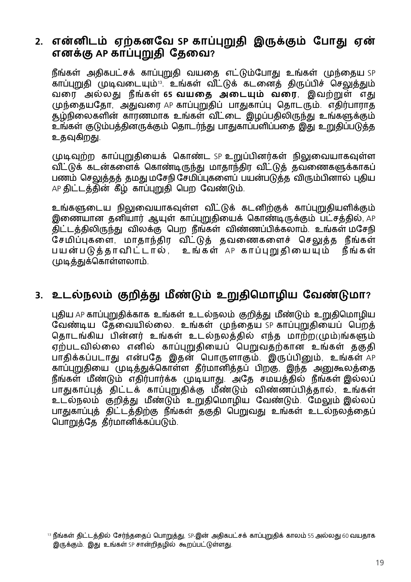#### **2. என்னிடம் ஏற்கனவே SP காப்புறுதி இருக்கும் போது ஏன் எனக்கு AP காப்புறுதி தேவை?**

 நீங்கள் அதிகபட்சக் காப்புறுதி வயதை எட்டும்போது உங்கள் முந்தைய SP ,<br>காப்புறுதி முடிவடையும்<sup>13</sup>. உங்கள் வீட்டுக் கடனைத் திருப்பிச் செலுத்தும் வரை அல்லது நீங்கள் **65 வயதை அடையும் வரை**, இவற்றுள் எது முந்தையதோ, அதுவரை AP காப்புறுதிப் பாதுகாப்பு தொடரும். எதிர்பாராத சூழ்நிலைகளின் காரணமாக உங்கள் வீட்டை இழப்பதிலிருந்து உங்களுக்கும் உங்கள் குடும்பத்தினருக்கும் தொடர்ந்து பாதுகாப்பளிப்பதை இது உறுதிப்படுத்த உகவகிறகு.

முடிவுற்ற காப்புறுதியைக் கொண்ட SP உறுப்பினர்கள் நிலுவையாகவுள்ள வ ீட்டுக் கடன்களைக் கொண்டிருந்து மாதாந்திர வ ீட்டுத் தவணைகளுக்காகப் பணம் செலுத்தத் தமது மசேநி சேமிப்புகளைப் பயன்படுத்த விரும்பினால் புதிய AP திட்டத்தின் கீழ் காப்புறுதி பெற வேண்டும்.

உங்களுடைய நிலுவையாகவுள்ள வீட்டுக் கடனிற்குக் காப்புறுதியளிக்கும் இணையான தனியார் ஆயுள் காப்புறுதியைக் கொண்டிருக்கும் பட்சத்தில், AP திட்டத்திலிருந்து விலக்கு பெற நீங்கள் விண்ணப்பிக்கலாம். உங்கள் மசேநி சேமிப்புகளை, மாதாந்திர விட்டுத் தவணைகளைச் செலுத்த நீங்கள் பயன்படுத்தாவிட்டால், உங்கள் AP காப்புறுதியையும் நீங்கள் முடித்துக்கொள்ளலாம்.

#### **3. உடல்நலம் குறித்து மீண்டும் உறுதிமொழிய வேண்டுமா?**

புதிய AP காப்புறுதிக்காக உங்கள் உடல்நலம் குறித்து மீண்டும் உறுதிமொழிய வேண்டிய தேவையில்லை. உங்கள் முந்தைய SP காப்புறுதியைப் பெறத் தொடங்கிய பின்னர் உங்கள் உடல்நலத்தில் எந்த மாற்ற(மும்)ங்களும் ஏற்படவில்லை எனில் காப்புறுதியைப் பெறுவதற்கான உங்கள் தகுதி பாதிக்கப்படாது என்பதே இதன் பொருளாகும். இருப்பினும், உங்கள் AP காப்புறுகியை முடித்துக்கொள்ள தீர்மானித்தப் பிறகு, இந்த அனுகூலத்தை நீங்கள் மீண்டும் எதிர்பார்க்க முடியாது. அதே சமயத்தில் நீங்கள் இல்லப் பாதுகாப்புத் திட்டக் காப்புறுதிக்கு மீண்டும் விண்ணப்பித்தால், உங்கள் உடல்நலம் குறித்து மீண்டும் உறுதிமொழிய வேண்டும். மேலும் இல்லப் பாதுகாப்புத் திட்டத்திற்கு நீங்கள் தகுதி பெறுவது உங்கள் உடல்நலத்தைப் பொறுத்தே தீர்மானிக்கப்படும்.

<sup>13</sup> நீங்கள் திட்டத்தில் சேர்ந்ததைப் பொறுத்து, SP-இன் அதிகபட்சக் காப்புறுதிக் காலம் 55 அல்லது 60 வயதாக இருக்கும். இது உங்கள் SP சான்றிதழில் கூறப்பட்டுள்ளது.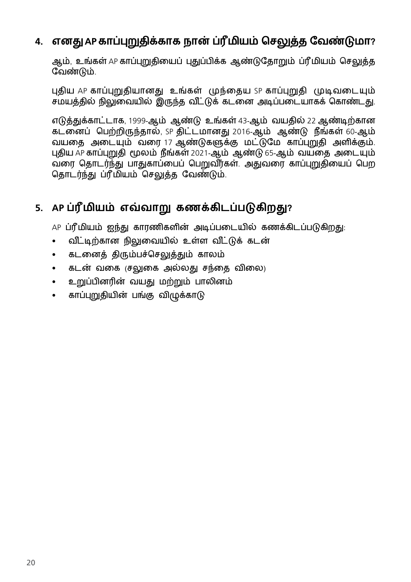#### **4. எனது AP காப்புறுதிக்காக நான் ப்ரீமியம் செலுத்த வேண்டுமா?**

ஆம், உங்கள் AP காப்புறுதியைப் புதுப்பிக்க ஆண்டுதோறும் ப்ரீமியம் செலுத்த வேண்டும்.

புதிய AP காப்புறுதியானது உங்கள் முந்தைய SP காப்புறுதி முடிவடையும் சமயத்தில் நிலுவையில் இருந்த வீட்டுக் கடனை அடிப்படையாகக் கொண்டது.

எடுத்துக்காட்டாக, 1999-ஆம் ஆண்டு உங்கள் 43-ஆம் வயதில் 22 ஆண்டிற்கான கடனைப் பெற்றிருந்தால், SP திட்டமானது 2016-ஆம் ஆண்டு நீங்கள் 60-ஆம் வயதை அடையும் வரை 17 ஆண்டுகளுக்கு மட்டுமே காப்புறுதி அளிக்கும். புதிய AP காப்புறுதி மூலம் நீங்கள் 2021-ஆம் ஆண்டு 65-ஆம் வயதை அடையும் வரை கொடர்ந்து பாதுகாப்பைப் பெறுவீர்கள். அதுவரை காப்பறுகியைப் பெற தொடர்ந்து ப்ரீமியம் செலுத்த வேண்டும்.

#### **5. AP ப்ரீமியம் எவ்வாறு கணக்கிடப்படுகிறது?**

AP ப்ரீமியம் ஐந்து காரணிகளின் அடிப்படையில் கணக்கிடப்படுகிறது:

- வீட்டிற்கான நிலுவையில் உள்ள வீட்டுக் கடன்
- கடனைத் திரும்பச்செலுத்தும் காலம்
- கடன் வகை (சலுகை அல்லது சந்தை விலை)
- உறுப்பினரின் வயது மற்றும் பாலினம்
- காப்புறுதியின் பங்கு விழுக்காடு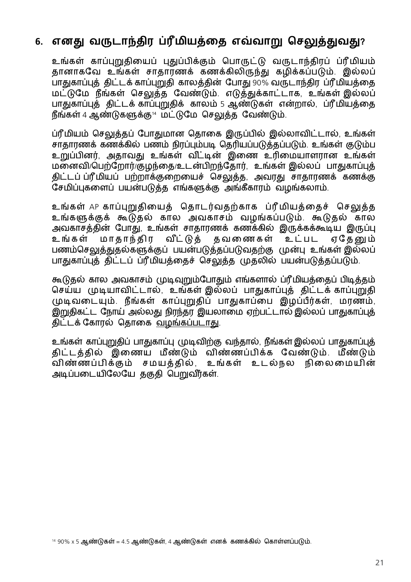#### **6. எனது வருடாந்திர ப்ரீமியத்தை எவ்வாறு செலுத்துவது?**

உங்கள் காப்புறுதியைப் புதுப்பிக்கும் பொருட்டு வருடாந்திரப் ப்ரீமியம் தானாகவே உங்கள் சாதாரணக் கணக்கிலிருந்து கழிக்கப்படும். இல்லப் பாதுகாப்புத் திட்டக் காப்புறுதி காலத்தின் போது 90% வருடாந்திர ப்ரீமியத்தை மட்டுமே நீங்கள் செலுத்த வேண்டும். எடுத்துக்காட்டாக, உங்கள் இல்லப் பாதுகாப்புத் திட்டக் காப்புறுதிக் காலம் 5 ஆண்டுகள் என்றால், ப்ரீமியத்தை நீங்கள் 4 ஆண்டுகளுக்கு<sup>14</sup> மட்டுமே செலுத்த வேண்டும்.

ப்ரீமியம் செலுத்தப் போதுமான தொகை இருப்பில் இல்லாவிட்டால், உங்கள் சாதாரணக் கணக்கில் பணம் நிரப்பும்படி தெரியப்படுத்தப்படும். உங்கள் குடும்ப உறுப்பினர், அதாவது உங்கள் வீட்டின் இணை உரிமையாளரான உங்கள் மனைவி/பெற்றோர்/குழந்தை/உடன்பிறந்தோர், உங்கள் இல்லப் பாதுகாப்புத் திட்டப் ப்ரீமியப் பற்றாக்குறையைச் செலுத்த, அவரது சாதாரணக் கணக்கு சேமிப்புகளைப் பயன்படுத்த எங்களுக்கு அங்கீகாரம் வழங்கலாம்.

உங்கள் AP காப்புறுதியைத் தொடர்வதற்காக ப்ரீமியத்தைச் செலுத்த உங்களுக்குக் கூடுதல் கால அவகாசம் வழங்கப்படும். கூடுதல் கால அவகாசத்தின் போது, உங்கள் சாதாரணக் கணக்கில் இருக்கக்கூடிய இருப்பு<br>உங்கள் மாகாந்கிர வீட்டுத் தவணைகள் உட்பட ஏதேனும் உங்கள் மாதாந்திர வீட்டுத் தவணைகள் உட்பட பணம்செலுத்துதல்களுக்குப் பயன்படுத்தப்படுவதற்கு முன்பு உங்கள் இல்லப் பாதுகாப்புத் திட்டப் ப்ரீமியத்தைச் செலுத்த முதலில் பயன்படுத்தப்படும்.

கூடுதல் கால அவகாசம் முடிவுறும்போதும் எங்களால் ப்ரீமியத்தைப் பிடித்தம் செய்ய முடியாவிட்டால், உங்கள் இல்லப் பாதுகாப்புத் திட்டக் காப்புறுதி முடிவடையும். நீங்கள் காப்புறுதிப் பாதுகாப்பை இழப்பீர்கள், மரணம், இறுதிகட்ட ந�ோய் அல்லது நிரந்தர இயலாமை ஏற்பட்டால் இல்லப் பாதுகாப்புத் திட்டக் கோரல் தொகை வழங்கப்படாது.

உங்கள் காப்புறுதிப் பாதுகாப்பு முடிவிற்கு வந்தால், நீங்கள் இல்லப் பாதுகாப்புத் திட்டத்தில் இணைய மீண்டும் விண்ணப்பிக்க வேண்டும். மீண்டும் வ ிண்ணப்பிக்கும் சமயத்தில், உங்கள் உடல்நல நிலைமைய ின் அடிப்படையிலேயே தகுதி பெறுவீர்கள்.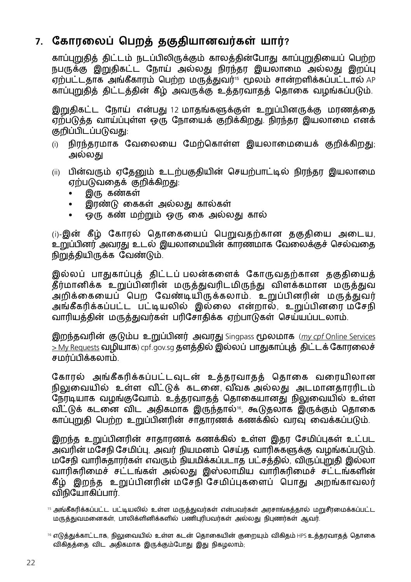#### **7. கோரலைப் பெறத் தகுதியானவர்கள் யார்?**

காப்புறுதித் திட்டம் நடப்பிலிருக்கும் காலத்தின்போது காப்புறுதியைப் பெற்ற நபருக்கு இறுகிகட்ட நோய் அல்லது நிரந்தா இயலாமை அல்லது இறப்பு ,<br>ஏற்பட்டதாக அங்கீகாரம் பெற்ற மருத்துவர்<sup>15</sup> மூலம் சான்றளிக்கப்பட்டால் AP காப்புறுதித் திட்டத்தின் கீழ் அவருக்கு உத்தரவாதத் தொகை வழங்கப்படும்.

இறுதிகட்ட நோய் என்பது 12 மாதங்களுக்குள் உறுப்பினருக்கு மரணத்தை .<br>ஏற்படுத்த வாய்ப்புள்ள ஒரு நோயைக் குறிக்கிறது. நிரந்தர இயலாமை எனக் குறிப்பிடப்படுவது:

- (i) நிரந்தரமாக வேலையை மேற்கொள்ள இயலாமையைக் குறிக்கிறது; அல்லது
- (ii) பின்வரும் ஏதேனும் உடற்பகுதியின் செயற்பாட்டில் நிரந்தர இயலாமை ஏற்படுவதைக் குறிக்கிறது:
	- இரு கண்கள்
	- இரண்டு கைகள் அல்லது கால்கள்
	- ஒரு கண் மற்றும் ஒரு கை அல்லது கால்

(i)-இன் கீழ் கோரல் தொகையைப் பெறுவதற்கான தகுதியை அடைய, உறுப்பினர் அவரது உடல் இயலாமையின் காரணமாக வேலைக்குச் செல்வதை நிறுத்தியிருக்க வேண்டும்.

இல்லப் பாகுகாப்பக் கிட்டப் பலன்களைக் கோருவுகற்கான ககுகியைக் தீர்மானிக்க உறுப்பினரின் மருத்துவரிடமிருந்து விளக்கமான மருத்துவ அறிக்கையைப் பெற வேண்டியிருக்கலாம். உறுப்பினரின் மருத்துவர் அங்கீகரிக்கப்பட்ட பட்டியலில் இல்லை என்றால், உறுப்பினரை மசேநி வாரியத்தின் மருத்துவர்கள் பரிசோதிக்க ஏற்பாடுகள் செய்யப்படலாம்.

இறந்தவரின் குடும்ப உறுப்பினர் அவரது Singpass மூலமாக (my cpf Online Services [> My Requests](https://www.cpf.gov.sg/esvc/web/services/myrequest/myrequestlanding) வழியாக) cpf.gov.sg தளத்தில் இல்லப் பாதுகாப்புத் திட்டக் கோரலைச் சமர்ப்பிக்கலாம்.

கோரல் அங்கீகரிக்கப்பட்டவுடன் உத்தரவாதத் தொகை வரையிலான நிலுவையில் உள்ள வீட்டுக் கடனை வீவக அல்லது அடமானதாரரிடம் நேரடியாக வழங்குவோம். உத்தரவாதத் தொகையானது நிலுவையில் உள்ள விட்டுக் கடனை விட அதிகமாக இருந்தால் 6 கூடுதலாக இருக்கும் தொகை காப்புறுதி பெற்ற உறுப்பினரின் சாதாரணக் கணக்கில் வரவு வைக்கப்படும்.

இறந்த உறுப்பினரின் சாதாரணக் கணக்கில் உள்ள இதர சேமிப்புகள் உட்பட அவரின் மசேநி சேமிப்பு, அவர் நியமனம் செய்த வாரிசுகளுக்கு வழங்கப்படும். மசேநி வாரிசுதாரர்கள் எவரும் நியமிக்கப்படாத பட்சத்தில், விருப்புறுதி இல்லா வாரிசுரிமைச் சட்டங்கள் அல்லது இஸ்லாமிய வாரிசுரிமைச் சட்டங்களின் கீழ் இறந்த உறுப்பினரின் மசேநி சேமிப்புகளைப் பொது அறங்காவலர் விநியோகிப்பார்.

<sup>15</sup> அங்கீகரிக்கப்பட்ட பட்டியலில் உள்ள மருத்துவர்கள் என்பவர்கள் அரசாங்கத்தால் மறுசீரமைக்கப்பட்ட மருத்துவமனைகள், பாலிக்ளினிக்களில் பணிபுரிபவர்கள் அல்லது நிபுணர்கள் ஆவர்.

<sup>16</sup> எடுத்துக்காட்டாக, நிலுவையில் உள்ள கடன் தொகையின் குறையும் விகிதம் HPS உத்தரவாதத் தொகை விகிதத்தை விட அதிகமாக இருக்கும்போது இது நிகழலாம்;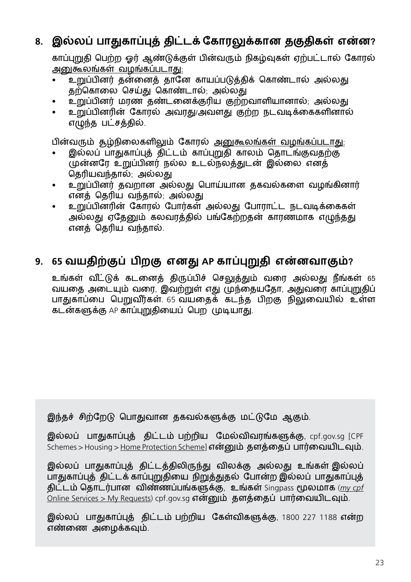#### **8. இல்லப் பாதுகாப்புத் திட்டக் கோரலுக்கான தகுதிகள் என்ன?**

காப்புறுதி பெற்ற ஓர் ஆண்டுக்குள் பின்வரும் நிகழ்வுகள் ஏற்பட்டால் கோரல் அனுகூலங்கள் வழங்கப்படாது:

- உறுப்பினர் தன்னைத் தானே காயப்படுத்திக் கொண்டால் அல்லது தற்கொலை செய்து கொண்டால்; அல்லது
- உறுப்பினர் மரண தண்டனைக்குரிய குற்றவாளியானால்; அல்லது
- உறுப்பினரின் கோரல் அவரது/அவளது குற்ற நடவடிக்கைகளினால் எழுந்த பட்சத்தில்.

பின்வரும் சூழ்நிலைகளிலும் கோரல் அனுகூலங்கள் வழங்கப்படாது:

- இல்லப் பாதுகாப்புத் திட்டம் காப்புறுதி காலம் தொடங்குவதற்கு முன்னரே உறுப்பினர் நல்ல உடல்நலத்துடன் இல்லை எனத் தெரியவந்தால்; அல்லது
- உறுப்பினர் தவறான அல்லது பொய்யான தகவல்களை வழங்கினார் எனத் தெரிய வந்தால்; அல்லது
- உறுப்பினரின் கோரல் போர்கள் அல்லது போராட்ட நடவடிக்கைகள் அல்லது ஏதேனும் கலவரத்தில் பங்கேற்றதன் காரணமாக எழுந்தது எனத் தெரிய வந்தால்.

#### **9. 65 வயதிற்குப் பிறகு எனது AP காப்புறுதி என்னவாகும்?**

உங்கள் விட்டுக் கடனைத் திருப்பிச் செலுத்தும் வரை அல்லது நீங்கள் 65 வயதை அடையும் வரை, இவற்றுள் எது முந்தையதோ, அதுவரை காப்புறுதிப் பாதுகாப்பை பெறுவீர்கள். 65 வயதைக் கடந்த பிறகு நிலுவையில் உள்ள கடன்களுக்கு AP காப்புறுதியைப் பெற முடியாது.

இந்தச் சிற்றேடு பொதுவான தகவல்களுக்கு மட்டுமே ஆகும்.

இல்லப் பாதுகாப்புத் திட்டம் பற்றிய மேல்விவரங்களுக்கு, cpf.gov.sg [CPF Schemes > Housing > [Home Protection Scheme](https://www.cpf.gov.sg/members/schemes/schemes/housing/home-protection-scheme)] என்னும் தளத்தைப் பார்வையிடவும்.

இல்லப் பாதுகாப்புத் திட்டத்திலிருந்து விலக்கு அல்லது உங்கள் இல்லப் பாதுகாப்புத் திட்டக் காப்புறுதியை நிறுத்துதல் போன்ற இல்லப் பாதுகாப்புத் திட்டம் தொடர்பான விண்ணப்பங்களுக்கு, உங்கள் Singpass மூலமாக (*[my cpf](https://www.cpf.gov.sg/esvc/web/services/myrequest/myrequestlanding)* [Online Services > My Requests\)](https://www.cpf.gov.sg/esvc/web/services/myrequest/myrequestlanding) cpf.gov.sg என்னும் தளத்தைப் பார்வையிடவும்.

இல்லப் பாதுகாப்புத் திட்டம் பற்றிய கேள்விகளுக்கு, 1800 227 1188 என்ற எண்ணை அழைக்கவும்.